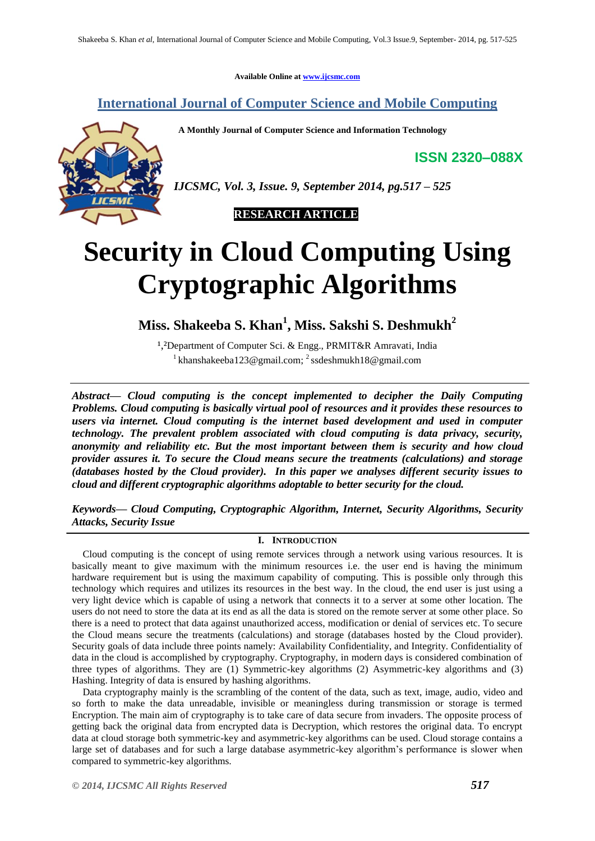**Available Online at [www.ijcsmc.com](http://www.ijcsmc.com/)**

**International Journal of Computer Science and Mobile Computing**

 **A Monthly Journal of Computer Science and Information Technology**

**ISSN 2320–088X**



*IJCSMC, Vol. 3, Issue. 9, September 2014, pg.517 – 525*

 **RESEARCH ARTICLE**

# **Security in Cloud Computing Using Cryptographic Algorithms**

**Miss. Shakeeba S. Khan<sup>1</sup> , Miss. Sakshi S. Deshmukh<sup>2</sup>**

<sup>1</sup>,<sup>2</sup>Department of Computer Sci. & Engg., PRMIT&R Amravati, India <sup>1</sup> khanshakeeba123@gmail.com; <sup>2</sup> ssdeshmukh18@gmail.com

*Abstract— Cloud computing is the concept implemented to decipher the Daily Computing Problems. Cloud computing is basically virtual pool of resources and it provides these resources to users via internet. Cloud computing is the internet based development and used in computer technology. The prevalent problem associated with cloud computing is data privacy, security, anonymity and reliability etc. But the most important between them is security and how cloud provider assures it. To secure the Cloud means secure the treatments (calculations) and storage (databases hosted by the Cloud provider). In this paper we analyses different security issues to cloud and different cryptographic algorithms adoptable to better security for the cloud.*

*Keywords— Cloud Computing, Cryptographic Algorithm, Internet, Security Algorithms, Security Attacks, Security Issue*

# **I. INTRODUCTION**

Cloud computing is the concept of using remote services through a network using various resources. It is basically meant to give maximum with the minimum resources i.e. the user end is having the minimum hardware requirement but is using the maximum capability of computing. This is possible only through this technology which requires and utilizes its resources in the best way. In the cloud, the end user is just using a very light device which is capable of using a network that connects it to a server at some other location. The users do not need to store the data at its end as all the data is stored on the remote server at some other place. So there is a need to protect that data against unauthorized access, modification or denial of services etc. To secure the Cloud means secure the treatments (calculations) and storage (databases hosted by the Cloud provider). Security goals of data include three points namely: Availability Confidentiality, and Integrity. Confidentiality of data in the cloud is accomplished by cryptography. Cryptography, in modern days is considered combination of three types of algorithms. They are (1) Symmetric-key algorithms (2) Asymmetric-key algorithms and (3) Hashing. Integrity of data is ensured by hashing algorithms.

Data cryptography mainly is the scrambling of the content of the data, such as text, image, audio, video and so forth to make the data unreadable, invisible or meaningless during transmission or storage is termed Encryption. The main aim of cryptography is to take care of data secure from invaders. The opposite process of getting back the original data from encrypted data is Decryption, which restores the original data. To encrypt data at cloud storage both symmetric-key and asymmetric-key algorithms can be used. Cloud storage contains a large set of databases and for such a large database asymmetric-key algorithm"s performance is slower when compared to symmetric-key algorithms.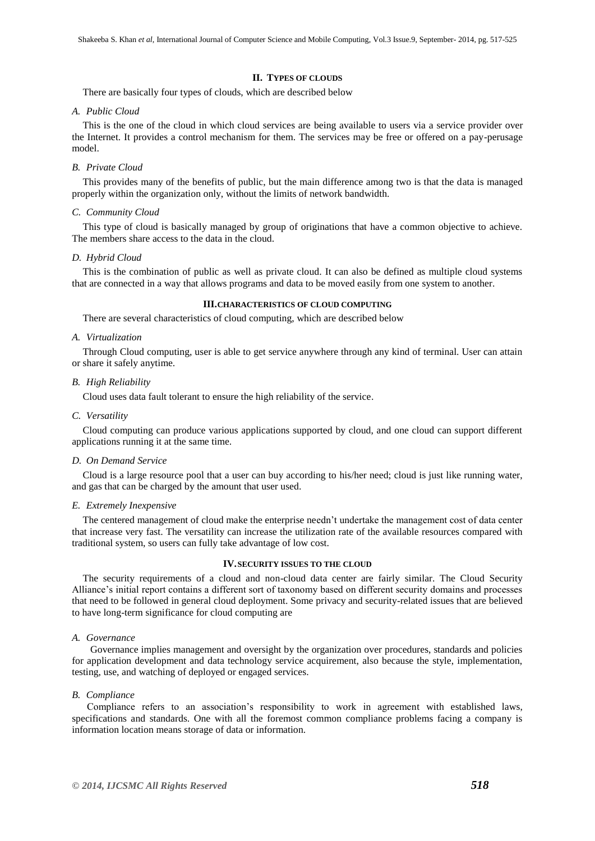## **II. TYPES OF CLOUDS**

There are basically four types of clouds, which are described below

#### *A. Public Cloud*

This is the one of the cloud in which cloud services are being available to users via a service provider over the Internet. It provides a control mechanism for them. The services may be free or offered on a pay-perusage model.

## *B. Private Cloud*

This provides many of the benefits of public, but the main difference among two is that the data is managed properly within the organization only, without the limits of network bandwidth.

## *C. Community Cloud*

This type of cloud is basically managed by group of originations that have a common objective to achieve. The members share access to the data in the cloud.

## *D. Hybrid Cloud*

This is the combination of public as well as private cloud. It can also be defined as multiple cloud systems that are connected in a way that allows programs and data to be moved easily from one system to another.

# **III.CHARACTERISTICS OF CLOUD COMPUTING**

There are several characteristics of cloud computing, which are described below

## *A. Virtualization*

Through Cloud computing, user is able to get service anywhere through any kind of terminal. User can attain or share it safely anytime.

#### *B. High Reliability*

Cloud uses data fault tolerant to ensure the high reliability of the service.

#### *C. Versatility*

Cloud computing can produce various applications supported by cloud, and one cloud can support different applications running it at the same time.

#### *D. On Demand Service*

Cloud is a large resource pool that a user can buy according to his/her need; cloud is just like running water, and gas that can be charged by the amount that user used.

## *E. Extremely Inexpensive*

The centered management of cloud make the enterprise needn't undertake the management cost of data center that increase very fast. The versatility can increase the utilization rate of the available resources compared with traditional system, so users can fully take advantage of low cost.

## **IV.SECURITY ISSUES TO THE CLOUD**

The security requirements of a cloud and non-cloud data center are fairly similar. The Cloud Security Alliance's initial report contains a different sort of taxonomy based on different security domains and processes that need to be followed in general cloud deployment. Some privacy and security-related issues that are believed to have long-term significance for cloud computing are

# *A. Governance*

Governance implies management and oversight by the organization over procedures, standards and policies for application development and data technology service acquirement, also because the style, implementation, testing, use, and watching of deployed or engaged services.

# *B. Compliance*

 Compliance refers to an association"s responsibility to work in agreement with established laws, specifications and standards. One with all the foremost common compliance problems facing a company is information location means storage of data or information.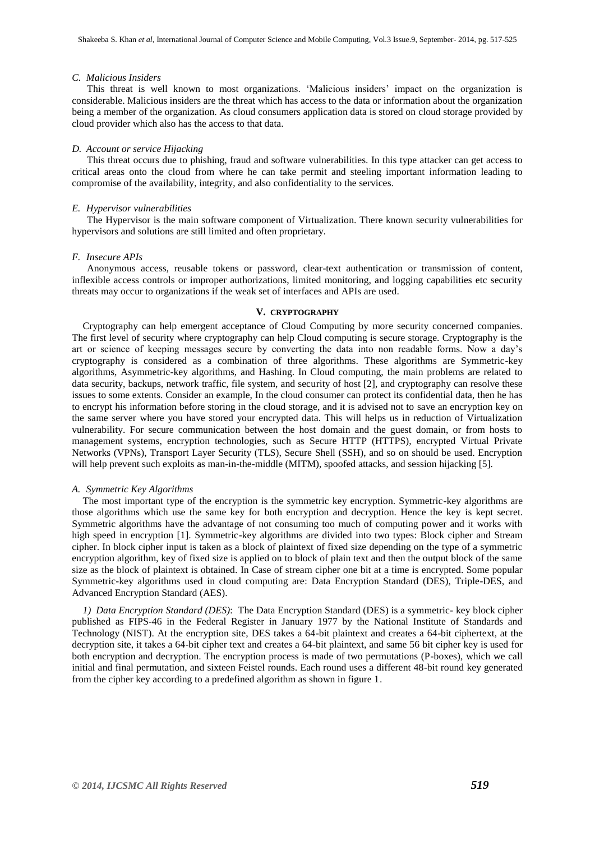#### *C. Malicious Insiders*

 This threat is well known to most organizations. "Malicious insiders" impact on the organization is considerable. Malicious insiders are the threat which has access to the data or information about the organization being a member of the organization. As cloud consumers application data is stored on cloud storage provided by cloud provider which also has the access to that data.

## *D. Account or service Hijacking*

 This threat occurs due to phishing, fraud and software vulnerabilities. In this type attacker can get access to critical areas onto the cloud from where he can take permit and steeling important information leading to compromise of the availability, integrity, and also confidentiality to the services.

## *E. Hypervisor vulnerabilities*

 The Hypervisor is the main software component of Virtualization. There known security vulnerabilities for hypervisors and solutions are still limited and often proprietary.

# *F. Insecure APIs*

 Anonymous access, reusable tokens or password, clear-text authentication or transmission of content, inflexible access controls or improper authorizations, limited monitoring, and logging capabilities etc security threats may occur to organizations if the weak set of interfaces and APIs are used.

# **V. CRYPTOGRAPHY**

Cryptography can help emergent acceptance of Cloud Computing by more security concerned companies. The first level of security where cryptography can help Cloud computing is secure storage. Cryptography is the art or science of keeping messages secure by converting the data into non readable forms. Now a day"s cryptography is considered as a combination of three algorithms. These algorithms are Symmetric-key algorithms, Asymmetric-key algorithms, and Hashing. In Cloud computing, the main problems are related to data security, backups, network traffic, file system, and security of host [2], and cryptography can resolve these issues to some extents. Consider an example, In the cloud consumer can protect its confidential data, then he has to encrypt his information before storing in the cloud storage, and it is advised not to save an encryption key on the same server where you have stored your encrypted data. This will helps us in reduction of Virtualization vulnerability. For secure communication between the host domain and the guest domain, or from hosts to management systems, encryption technologies, such as Secure HTTP (HTTPS), encrypted Virtual Private Networks (VPNs), Transport Layer Security (TLS), Secure Shell (SSH), and so on should be used. Encryption will help prevent such exploits as man-in-the-middle (MITM), spoofed attacks, and session hijacking [5].

#### *A. Symmetric Key Algorithms*

The most important type of the encryption is the symmetric key encryption. Symmetric-key algorithms are those algorithms which use the same key for both encryption and decryption. Hence the key is kept secret. Symmetric algorithms have the advantage of not consuming too much of computing power and it works with high speed in encryption [1]. Symmetric-key algorithms are divided into two types: Block cipher and Stream cipher. In block cipher input is taken as a block of plaintext of fixed size depending on the type of a symmetric encryption algorithm, key of fixed size is applied on to block of plain text and then the output block of the same size as the block of plaintext is obtained. In Case of stream cipher one bit at a time is encrypted. Some popular Symmetric-key algorithms used in cloud computing are: Data Encryption Standard (DES), Triple-DES, and Advanced Encryption Standard (AES).

*1) Data Encryption Standard (DES)*: The Data Encryption Standard (DES) is a symmetric- key block cipher published as FIPS-46 in the Federal Register in January 1977 by the National Institute of Standards and Technology (NIST). At the encryption site, DES takes a 64-bit plaintext and creates a 64-bit ciphertext, at the decryption site, it takes a 64-bit cipher text and creates a 64-bit plaintext, and same 56 bit cipher key is used for both encryption and decryption. The encryption process is made of two permutations (P-boxes), which we call initial and final permutation, and sixteen Feistel rounds. Each round uses a different 48-bit round key generated from the cipher key according to a predefined algorithm as shown in figure 1.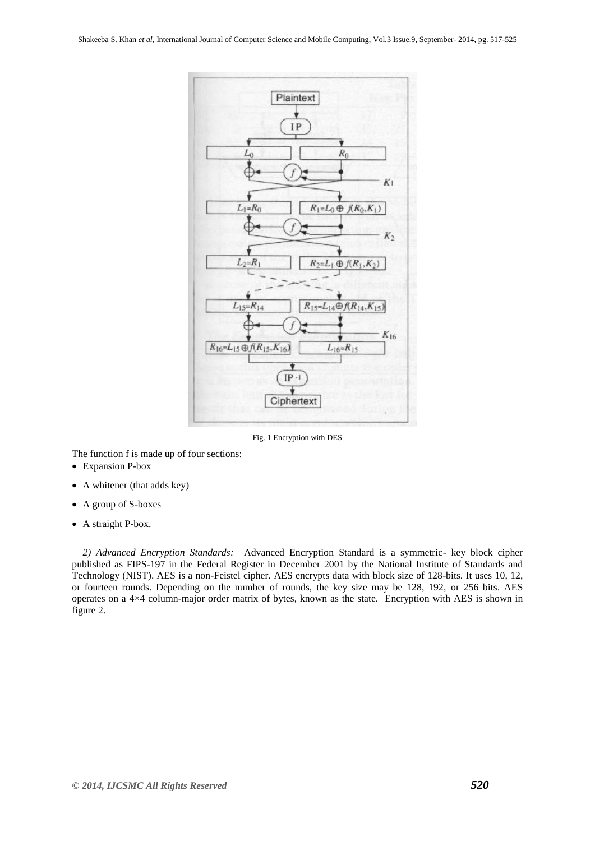

Fig. 1 Encryption with DES

The function f is made up of four sections:

- Expansion P-box
- A whitener (that adds key)
- A group of S-boxes
- A straight P-box.

*2) Advanced Encryption Standards:* Advanced Encryption Standard is a symmetric- key block cipher published as FIPS-197 in the Federal Register in December 2001 by the National Institute of Standards and Technology (NIST). AES is a non-Feistel cipher. AES encrypts data with block size of 128-bits. It uses 10, 12, or fourteen rounds. Depending on the number of rounds, the key size may be 128, 192, or 256 bits. AES operates on a 4×4 column-major order matrix of bytes, known as the state. Encryption with AES is shown in figure 2.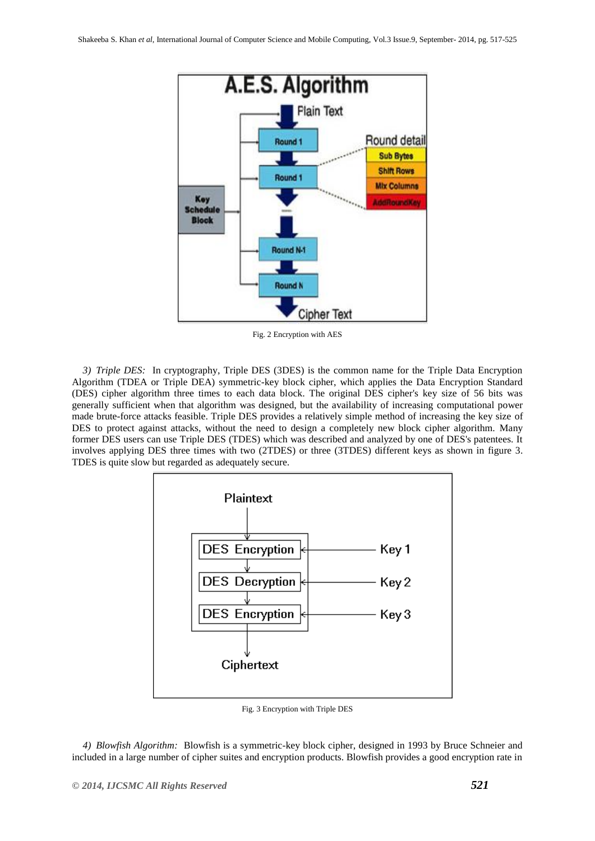

Fig. 2 Encryption with AES

*3) Triple DES:* In cryptography, Triple DES (3DES) is the common name for the Triple Data Encryption Algorithm (TDEA or Triple DEA) symmetric-key block cipher, which applies the Data Encryption Standard (DES) cipher algorithm three times to each data block. The original DES cipher's key size of 56 bits was generally sufficient when that algorithm was designed, but the availability of increasing computational power made brute-force attacks feasible. Triple DES provides a relatively simple method of increasing the key size of DES to protect against attacks, without the need to design a completely new block cipher algorithm. Many former DES users can use Triple DES (TDES) which was described and analyzed by one of DES's patentees. It involves applying DES three times with two (2TDES) or three (3TDES) different keys as shown in figure 3. TDES is quite slow but regarded as adequately secure.



Fig. 3 Encryption with Triple DES

*4) Blowfish Algorithm:* Blowfish is a symmetric-key block cipher, designed in 1993 by Bruce Schneier and included in a large number of cipher suites and encryption products. Blowfish provides a good encryption rate in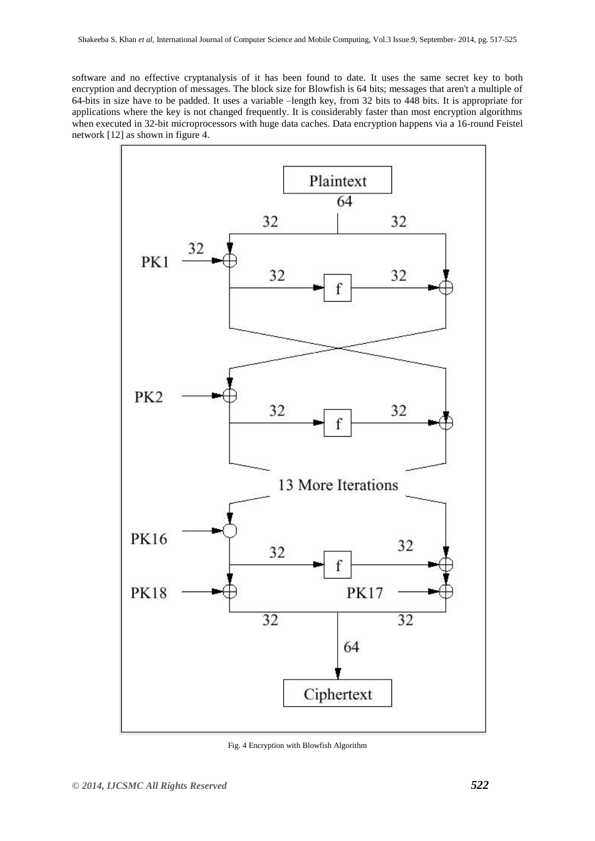software and no effective cryptanalysis of it has been found to date. It uses the same secret key to both encryption and decryption of messages. The block size for Blowfish is 64 bits; messages that aren't a multiple of 64-bits in size have to be padded. It uses a variable –length key, from 32 bits to 448 bits. It is appropriate for applications where the key is not changed frequently. It is considerably faster than most encryption algorithms when executed in 32-bit microprocessors with huge data caches. Data encryption happens via a 16-round Feistel network [12] as shown in figure 4.



Fig. 4 Encryption with Blowfish Algorithm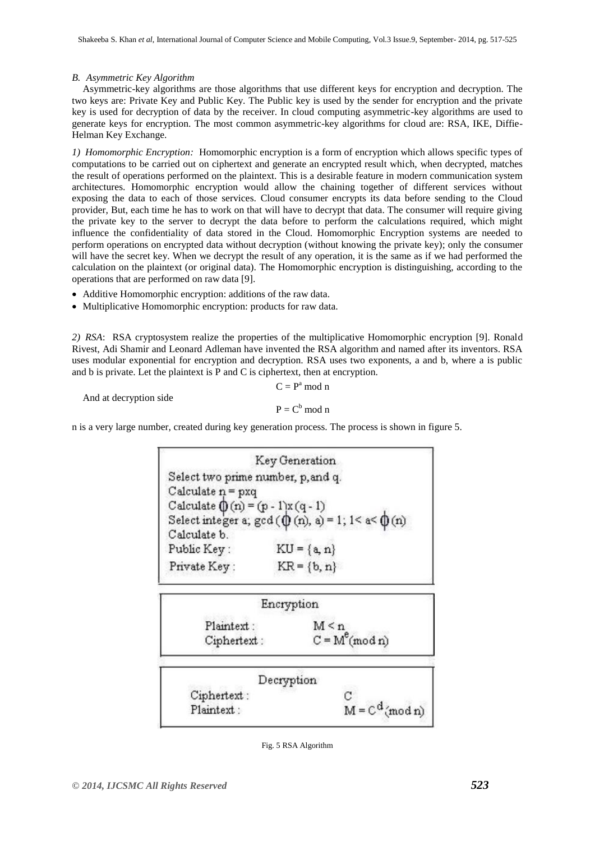# *B. Asymmetric Key Algorithm*

Asymmetric-key algorithms are those algorithms that use different keys for encryption and decryption. The two keys are: Private Key and Public Key. The Public key is used by the sender for encryption and the private key is used for decryption of data by the receiver. In cloud computing asymmetric-key algorithms are used to generate keys for encryption. The most common asymmetric-key algorithms for cloud are: RSA, IKE, Diffie-Helman Key Exchange.

*1) Homomorphic Encryption:* Homomorphic encryption is a form of encryption which allows specific types of computations to be carried out on ciphertext and generate an encrypted result which, when decrypted, matches the result of operations performed on the plaintext. This is a desirable feature in modern communication system architectures. Homomorphic encryption would allow the chaining together of different services without exposing the data to each of those services. Cloud consumer encrypts its data before sending to the Cloud provider, But, each time he has to work on that will have to decrypt that data. The consumer will require giving the private key to the server to decrypt the data before to perform the calculations required, which might influence the confidentiality of data stored in the Cloud. Homomorphic Encryption systems are needed to perform operations on encrypted data without decryption (without knowing the private key); only the consumer will have the secret key. When we decrypt the result of any operation, it is the same as if we had performed the calculation on the plaintext (or original data). The Homomorphic encryption is distinguishing, according to the operations that are performed on raw data [9].

- Additive Homomorphic encryption: additions of the raw data.
- Multiplicative Homomorphic encryption: products for raw data.

*2) RSA*: RSA cryptosystem realize the properties of the multiplicative Homomorphic encryption [9]. Ronald Rivest, Adi Shamir and Leonard Adleman have invented the RSA algorithm and named after its inventors. RSA uses modular exponential for encryption and decryption. RSA uses two exponents, a and b, where a is public and b is private. Let the plaintext is P and C is ciphertext, then at encryption.

And at decryption side

$$
C = Pa \text{ mod } n
$$

$$
P = Cb \text{ mod } n
$$

n is a very large number, created during key generation process. The process is shown in figure 5.

Key Generation Select two prime number, p, and q. Calculate  $n = pxq$ Calculate  $( (n) = (p - 1)x (q - 1)$ Select integer a;  $gcd(\emptyset(n), a) = 1$ ;  $1 < a < \emptyset(n)$ Calculate b. Public Key:  $KU = {a, n}$ Private Kev:  $KR = {b, n}$ 



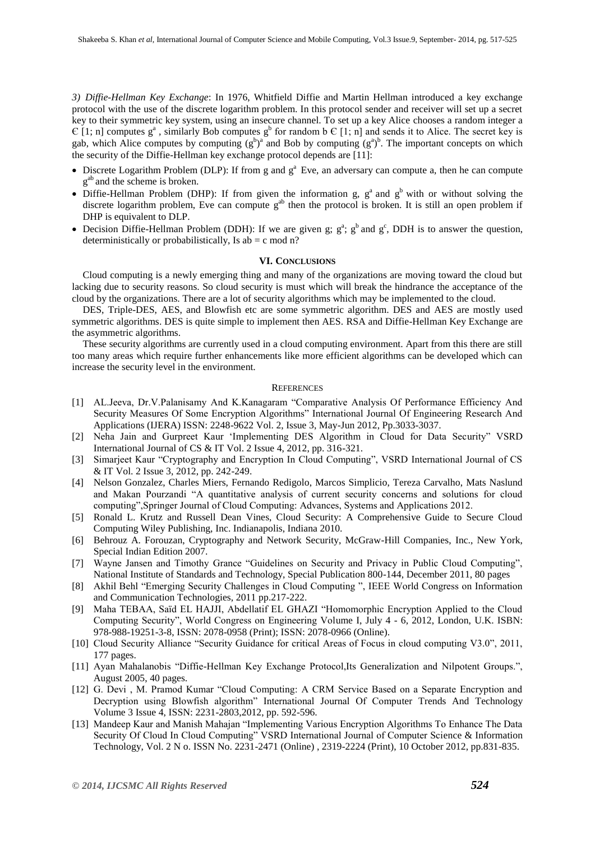*3) Diffie-Hellman Key Exchange*: In 1976, Whitfield Diffie and Martin Hellman introduced a key exchange protocol with the use of the discrete logarithm problem. In this protocol sender and receiver will set up a secret key to their symmetric key system, using an insecure channel. To set up a key Alice chooses a random integer a  $\epsilon$  [1; n] computes  $g^a$ , similarly Bob computes  $g^b$  for random b  $\epsilon$  [1; n] and sends it to Alice. The secret key is gab, which Alice computes by computing  $(g^b)^a$  and Bob by computing  $(g^a)^b$ . The important concepts on which the security of the Diffie-Hellman key exchange protocol depends are [11]:

- $\bullet$  Discrete Logarithm Problem (DLP): If from g and  $g^a$  Eve, an adversary can compute a, then he can compute  $g<sup>ab</sup>$  and the scheme is broken.
- Diffie-Hellman Problem (DHP): If from given the information g,  $g^a$  and  $g^b$  with or without solving the discrete logarithm problem, Eve can compute g<sup>ab</sup> then the protocol is broken. It is still an open problem if DHP is equivalent to DLP.
- Decision Diffie-Hellman Problem (DDH): If we are given g;  $g^a$ ;  $g^b$  and  $g^c$ , DDH is to answer the question, deterministically or probabilistically, Is  $ab = c \mod n$ ?

# **VI. CONCLUSIONS**

Cloud computing is a newly emerging thing and many of the organizations are moving toward the cloud but lacking due to security reasons. So cloud security is must which will break the hindrance the acceptance of the cloud by the organizations. There are a lot of security algorithms which may be implemented to the cloud.

DES, Triple-DES, AES, and Blowfish etc are some symmetric algorithm. DES and AES are mostly used symmetric algorithms. DES is quite simple to implement then AES. RSA and Diffie-Hellman Key Exchange are the asymmetric algorithms.

These security algorithms are currently used in a cloud computing environment. Apart from this there are still too many areas which require further enhancements like more efficient algorithms can be developed which can increase the security level in the environment.

#### **REFERENCES**

- [1] AL.Jeeva, Dr.V.Palanisamy And K.Kanagaram "Comparative Analysis Of Performance Efficiency And Security Measures Of Some Encryption Algorithms" International Journal Of Engineering Research And Applications (IJERA) ISSN: 2248-9622 Vol. 2, Issue 3, May-Jun 2012, Pp.3033-3037.
- [2] Neha Jain and Gurpreet Kaur "Implementing DES Algorithm in Cloud for Data Security" VSRD International Journal of CS & IT Vol. 2 Issue 4, 2012, pp. 316-321.
- [3] Simarjeet Kaur "Cryptography and Encryption In Cloud Computing", VSRD International Journal of CS & IT Vol. 2 Issue 3, 2012, pp. 242-249.
- [4] Nelson Gonzalez, Charles Miers, Fernando Redigolo, Marcos Simplicio, Tereza Carvalho, Mats Naslund and Makan Pourzandi "A quantitative analysis of current security concerns and solutions for cloud computing",Springer Journal of Cloud Computing: Advances, Systems and Applications 2012.
- [5] Ronald L. Krutz and Russell Dean Vines, Cloud Security: A Comprehensive Guide to Secure Cloud Computing Wiley Publishing, Inc. Indianapolis, Indiana 2010.
- [6] Behrouz A. Forouzan, Cryptography and Network Security, McGraw-Hill Companies, Inc., New York, Special Indian Edition 2007.
- [7] Wayne Jansen and Timothy Grance "Guidelines on Security and Privacy in Public Cloud Computing", National Institute of Standards and Technology, Special Publication 800-144, December 2011, 80 pages
- [8] Akhil Behl "Emerging Security Challenges in Cloud Computing ", IEEE World Congress on Information and Communication Technologies, 2011 pp.217-222.
- [9] Maha TEBAA, Saïd EL HAJJI, Abdellatif EL GHAZI "Homomorphic Encryption Applied to the Cloud Computing Security", World Congress on Engineering Volume I, July 4 - 6, 2012, London, U.K. ISBN: 978-988-19251-3-8, ISSN: 2078-0958 (Print); ISSN: 2078-0966 (Online).
- [10] Cloud Security Alliance "Security Guidance for critical Areas of Focus in cloud computing V3.0", 2011, 177 pages.
- [11] Ayan Mahalanobis "Diffie-Hellman Key Exchange Protocol,Its Generalization and Nilpotent Groups.", August 2005, 40 pages.
- [12] G. Devi , M. Pramod Kumar "Cloud Computing: A CRM Service Based on a Separate Encryption and Decryption using Blowfish algorithm" International Journal Of Computer Trends And Technology Volume 3 Issue 4, ISSN: 2231-2803,2012, pp. 592-596.
- [13] Mandeep Kaur and Manish Mahajan "Implementing Various Encryption Algorithms To Enhance The Data Security Of Cloud In Cloud Computing" VSRD International Journal of Computer Science & Information Technology, Vol. 2 N o. ISSN No. 2231-2471 (Online) , 2319-2224 (Print), 10 October 2012, pp.831-835.